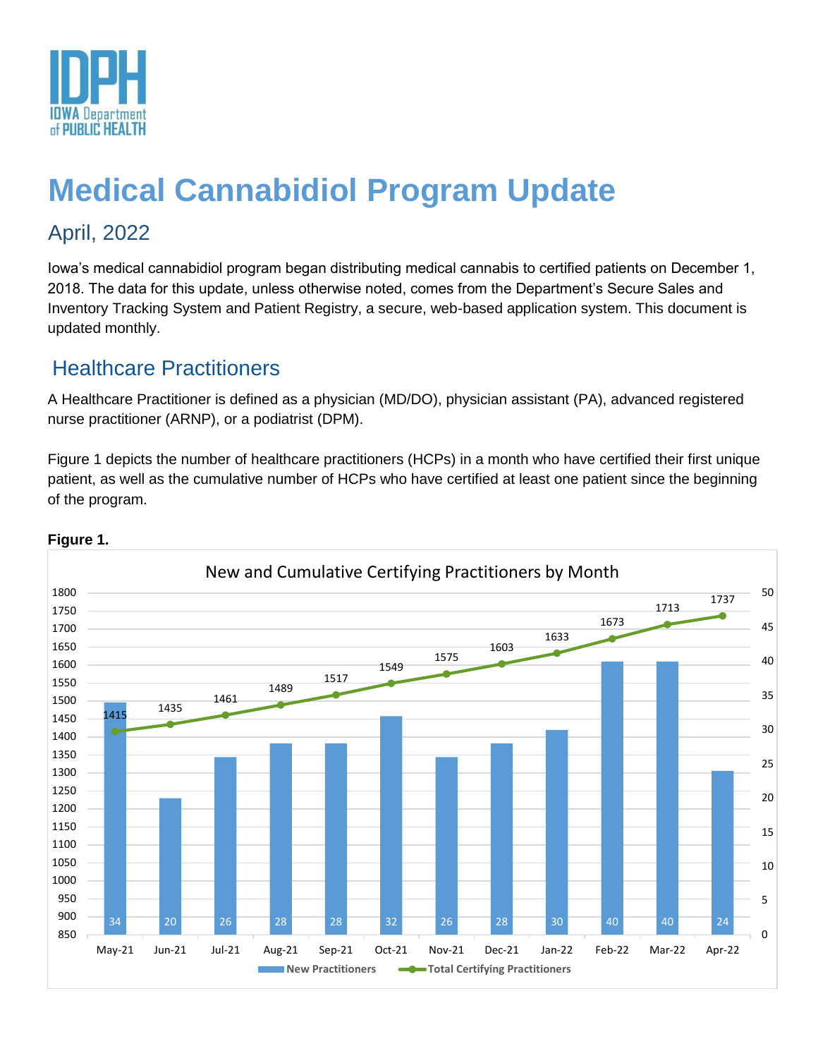

# **Medical Cannabidiol Program Update**

# April, 2022

Iowa's medical cannabidiol program began distributing medical cannabis to certified patients on December 1, 2018. The data for this update, unless otherwise noted, comes from the Department's Secure Sales and Inventory Tracking System and Patient Registry, a secure, web-based application system. This document is updated monthly.

## Healthcare Practitioners

A Healthcare Practitioner is defined as a physician (MD/DO), physician assistant (PA), advanced registered nurse practitioner (ARNP), or a podiatrist (DPM).

Figure 1 depicts the number of healthcare practitioners (HCPs) in a month who have certified their first unique patient, as well as the cumulative number of HCPs who have certified at least one patient since the beginning of the program.



### **Figure 1.**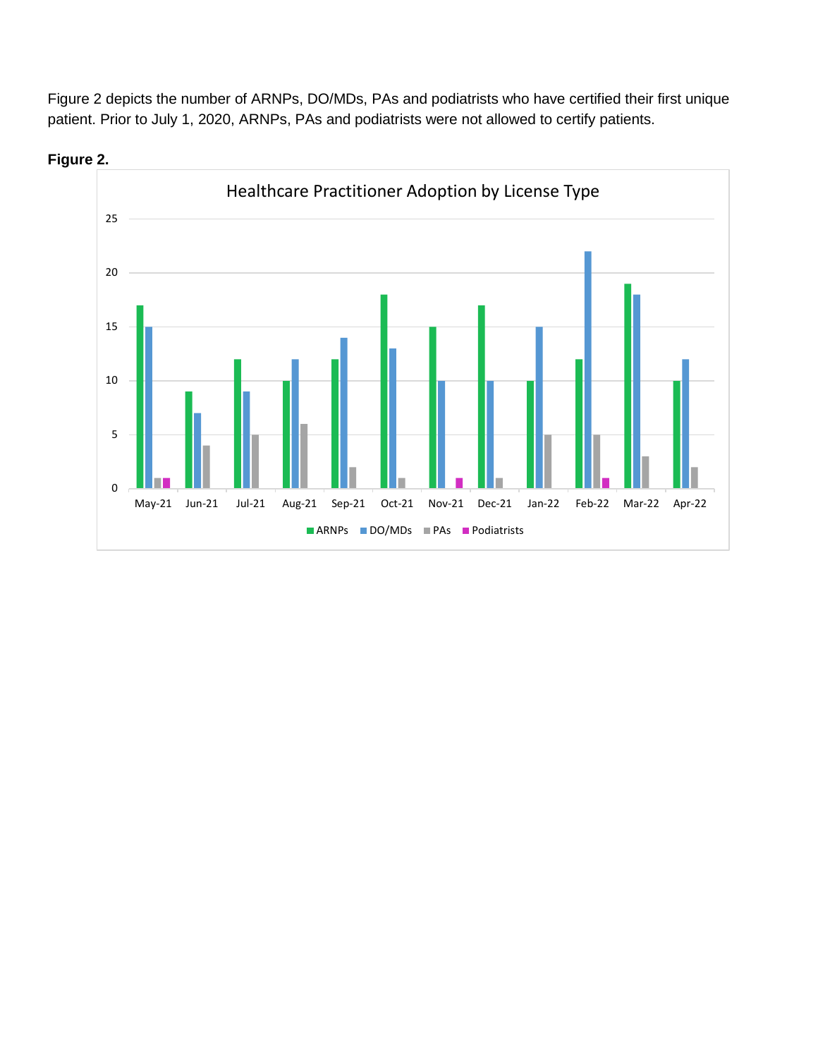Figure 2 depicts the number of ARNPs, DO/MDs, PAs and podiatrists who have certified their first unique patient. Prior to July 1, 2020, ARNPs, PAs and podiatrists were not allowed to certify patients.



**Figure 2.**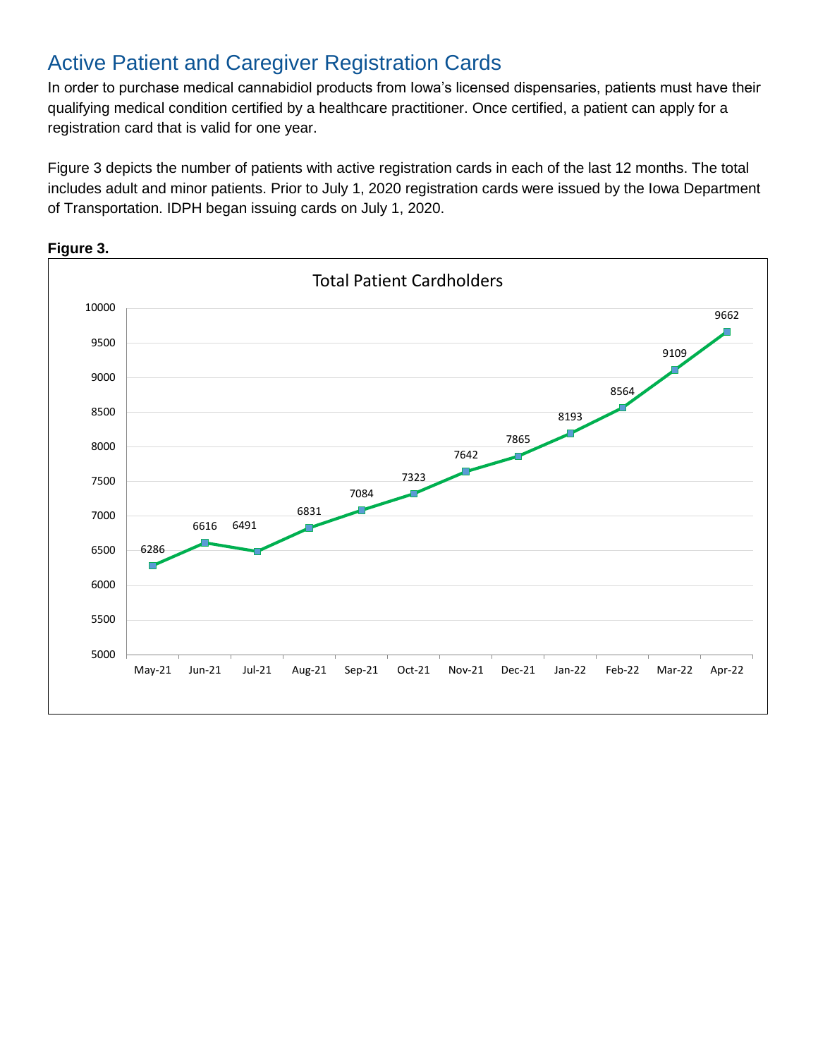### Active Patient and Caregiver Registration Cards

In order to purchase medical cannabidiol products from Iowa's licensed dispensaries, patients must have their qualifying medical condition certified by a healthcare practitioner. Once certified, a patient can apply for a registration card that is valid for one year.

Figure 3 depicts the number of patients with active registration cards in each of the last 12 months. The total includes adult and minor patients. Prior to July 1, 2020 registration cards were issued by the Iowa Department of Transportation. IDPH began issuing cards on July 1, 2020.

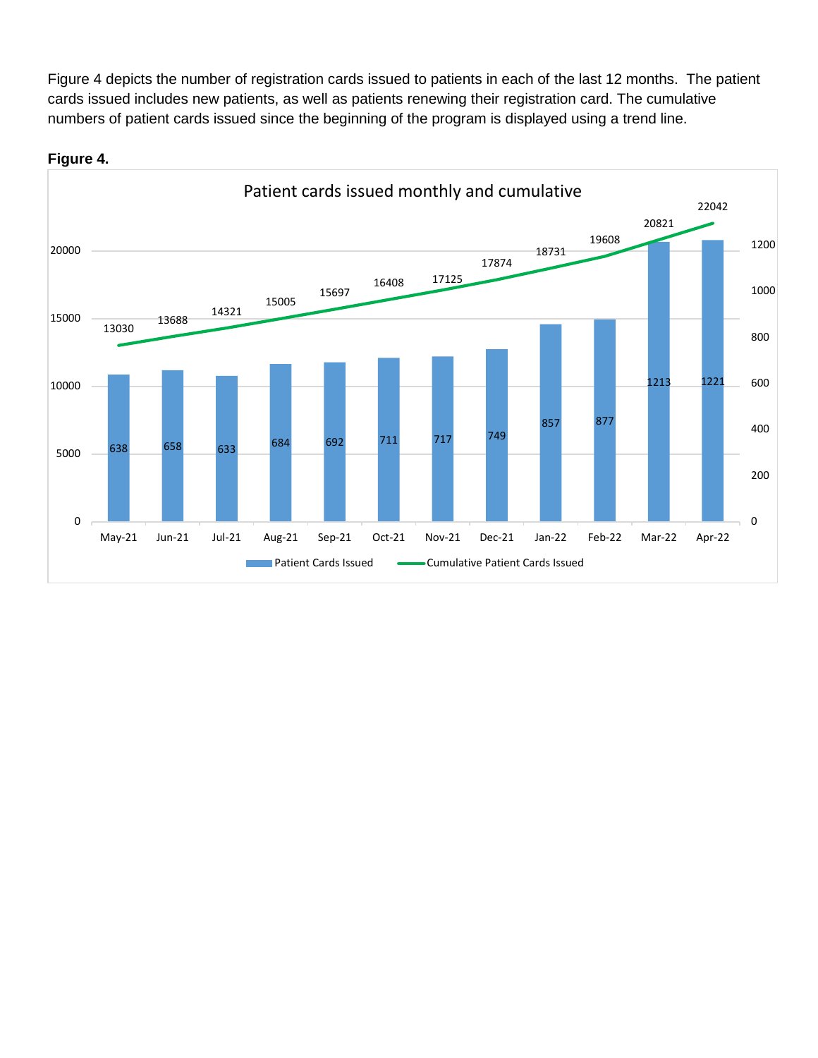Figure 4 depicts the number of registration cards issued to patients in each of the last 12 months. The patient cards issued includes new patients, as well as patients renewing their registration card. The cumulative numbers of patient cards issued since the beginning of the program is displayed using a trend line.



#### **Figure 4.**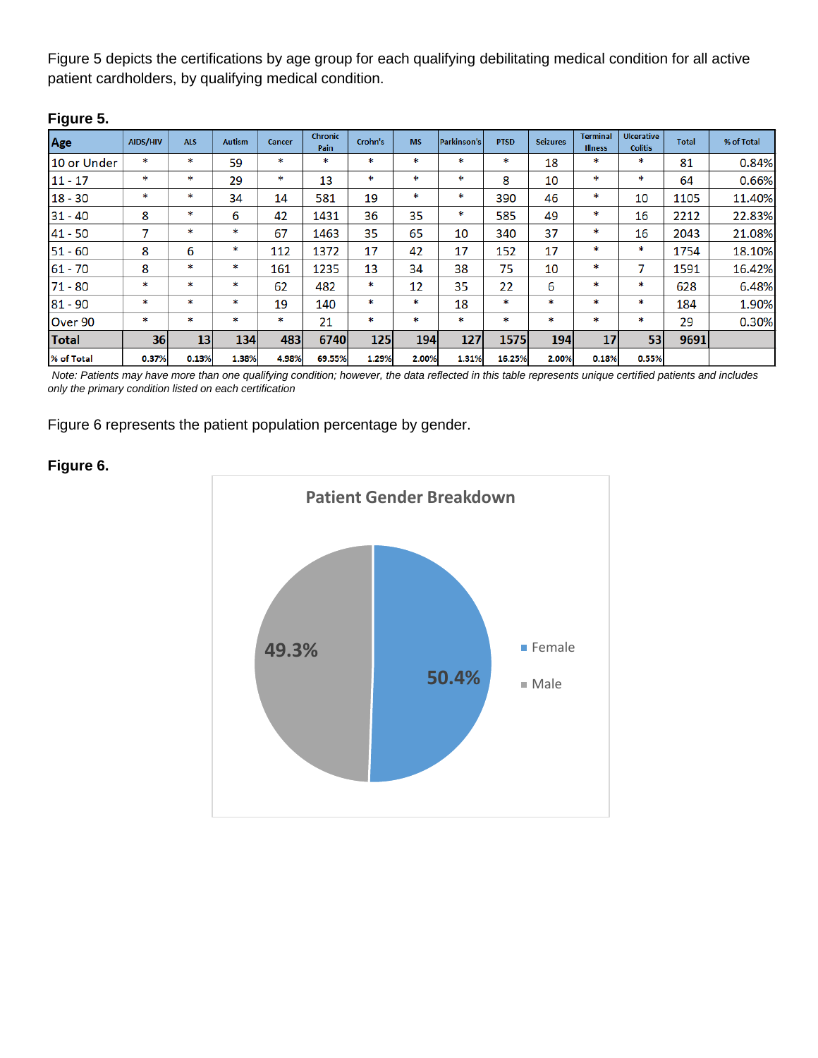Figure 5 depicts the certifications by age group for each qualifying debilitating medical condition for all active patient cardholders, by qualifying medical condition.

| ı ıyuı <del>c</del> v. |          |            |               |        |                        |         |            |                    |             |                 |                                   |                                     |              |            |
|------------------------|----------|------------|---------------|--------|------------------------|---------|------------|--------------------|-------------|-----------------|-----------------------------------|-------------------------------------|--------------|------------|
| Age                    | AIDS/HIV | <b>ALS</b> | <b>Autism</b> | Cancer | <b>Chronic</b><br>Pain | Crohn's | <b>MS</b>  | <b>Parkinson's</b> | <b>PTSD</b> | <b>Seizures</b> | <b>Terminal</b><br><b>Illness</b> | <b>Ulcerative</b><br><b>Colitis</b> | <b>Total</b> | % of Total |
| 10 or Under            | $\ast$   | *          | 59            | *      | $\ast$                 | *       | ∗          | $\ast$             | *           | 18              | *                                 | *                                   | 81           | 0.84%      |
| $11 - 17$              | ∗        | *          | 29            | *      | 13                     | ∗       | *          | ∗                  | 8           | 10              | *                                 | ∗                                   | 64           | 0.66%      |
| $18 - 30$              | *        | $\ast$     | 34            | 14     | 581                    | 19      | $\ast$     | *                  | 390         | 46              | $\ast$                            | 10                                  | 1105         | 11.40%     |
| $31 - 40$              | 8        | *          | 6             | 42     | 1431                   | 36      | 35         | ∗                  | 585         | 49              | *                                 | 16                                  | 2212         | 22.83%     |
| $41 - 50$              | 7        | *          | ∗             | 67     | 1463                   | 35      | 65         | 10                 | 340         | 37              | ∗                                 | 16                                  | 2043         | 21.08%     |
| $51 - 60$              | 8        | 6          | *             | 112    | 1372                   | 17      | 42         | 17                 | 152         | 17              | $\ast$                            | *                                   | 1754         | 18.10%     |
| $61 - 70$              | 8        | *          | *             | 161    | 1235                   | 13      | 34         | 38                 | 75          | 10              | *                                 | 7                                   | 1591         | 16.42%     |
| $71 - 80$              | *        | ∗          | 木             | 62     | 482                    | *       | 12         | 35                 | 22          | 6               | *                                 | *                                   | 628          | 6.48%      |
| $81 - 90$              | *        | *          | зķ            | 19     | 140                    | *       | $\ast$     | 18                 | *           | *               | *                                 | *                                   | 184          | 1.90%      |
| Over 90                | *        | *          | *             | *      | 21                     | *       | *          | $\ast$             | *           | $*$             | *                                 | *                                   | 29           | 0.30%      |
| <b>Total</b>           | 36       | <b>13</b>  | <b>134</b>    | 483    | 6740                   | 125     | <b>194</b> | 127                | 1575        | <b>194</b>      | 17 <sup>1</sup>                   | 53                                  | 9691         |            |
| % of Total             | 0.37%    | 0.13%      | 1.38%         | 4.98%  | 69.55%                 | 1.29%   | 2.00%      | 1.31%              | 16.25%      | 2.00%           | 0.18%                             | 0.55%                               |              |            |

#### **Figure 5.**

*Note: Patients may have more than one qualifying condition; however, the data reflected in this table represents unique certified patients and includes only the primary condition listed on each certification* 

Figure 6 represents the patient population percentage by gender.

### **Figure 6.**

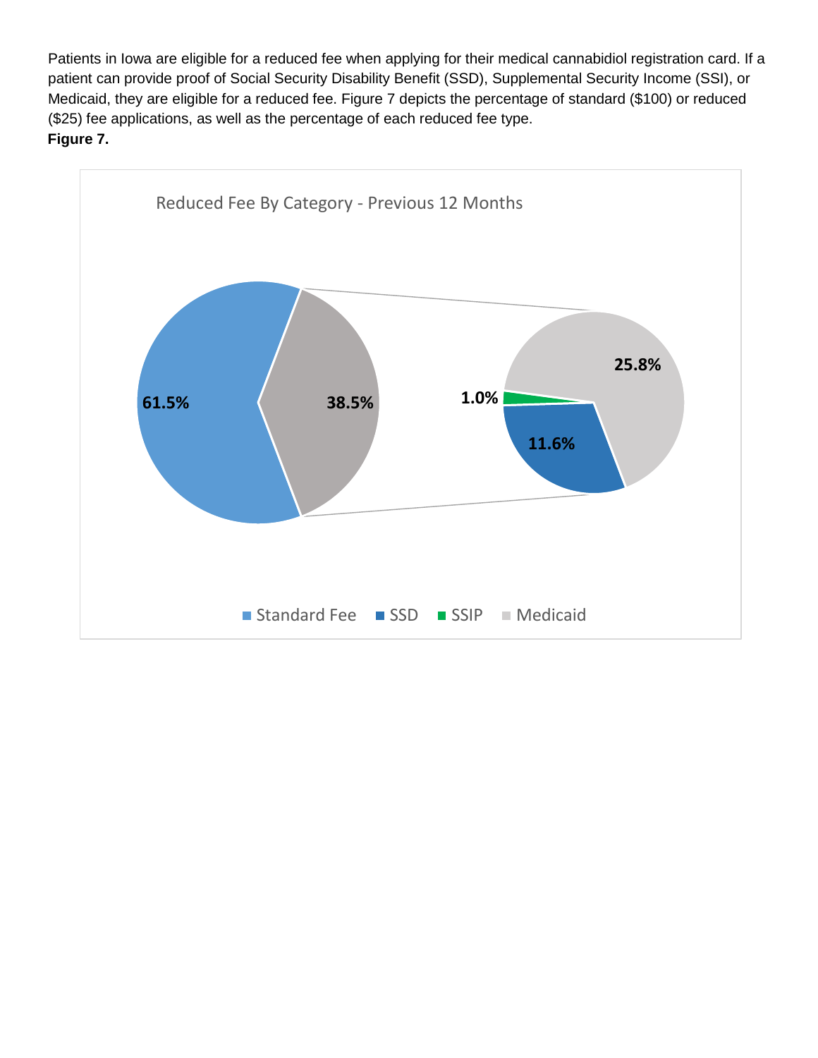Patients in Iowa are eligible for a reduced fee when applying for their medical cannabidiol registration card. If a patient can provide proof of Social Security Disability Benefit (SSD), Supplemental Security Income (SSI), or Medicaid, they are eligible for a reduced fee. Figure 7 depicts the percentage of standard (\$100) or reduced (\$25) fee applications, as well as the percentage of each reduced fee type. **Figure 7.**

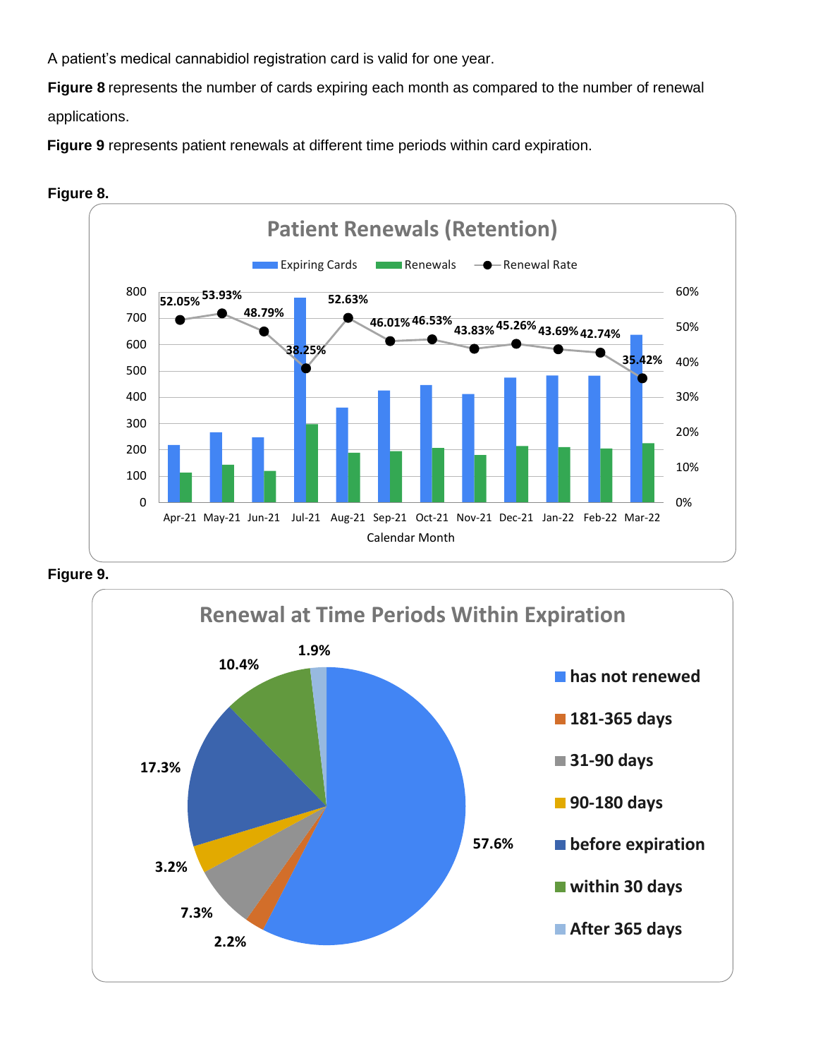A patient's medical cannabidiol registration card is valid for one year.

**Figure 8** represents the number of cards expiring each month as compared to the number of renewal

applications.

**Figure 9** represents patient renewals at different time periods within card expiration.





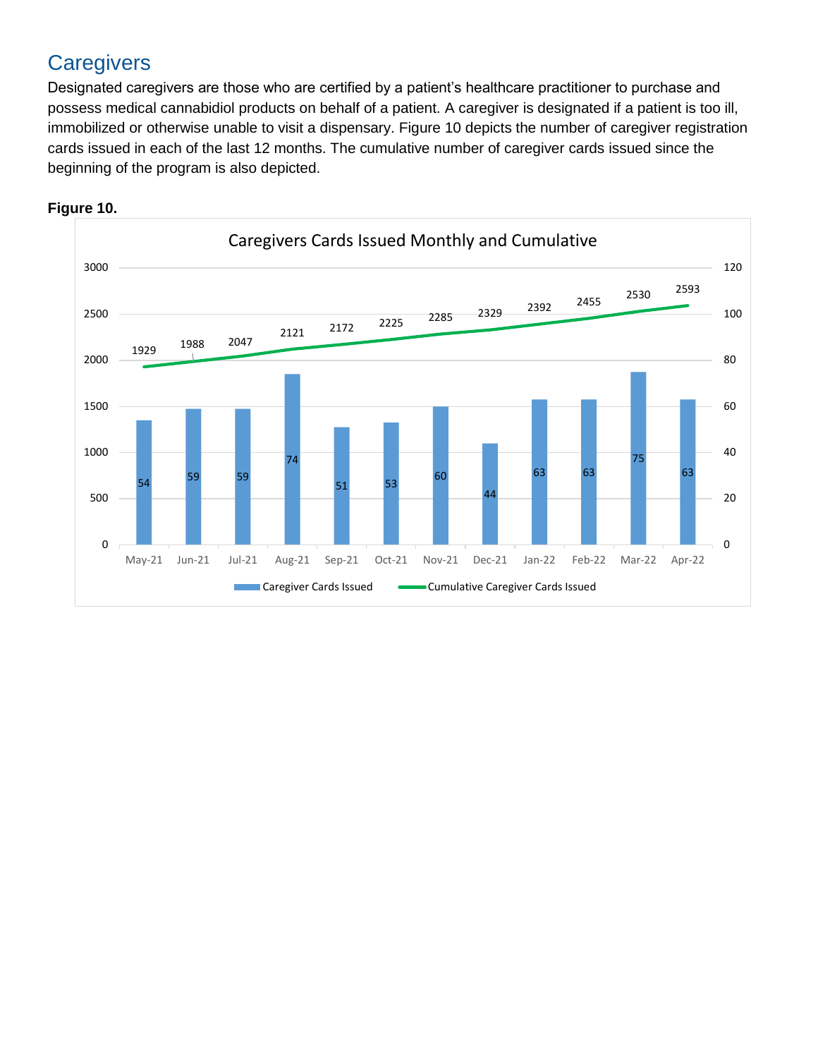# **Caregivers**

Designated caregivers are those who are certified by a patient's healthcare practitioner to purchase and possess medical cannabidiol products on behalf of a patient. A caregiver is designated if a patient is too ill, immobilized or otherwise unable to visit a dispensary. Figure 10 depicts the number of caregiver registration cards issued in each of the last 12 months. The cumulative number of caregiver cards issued since the beginning of the program is also depicted.



#### **Figure 10.**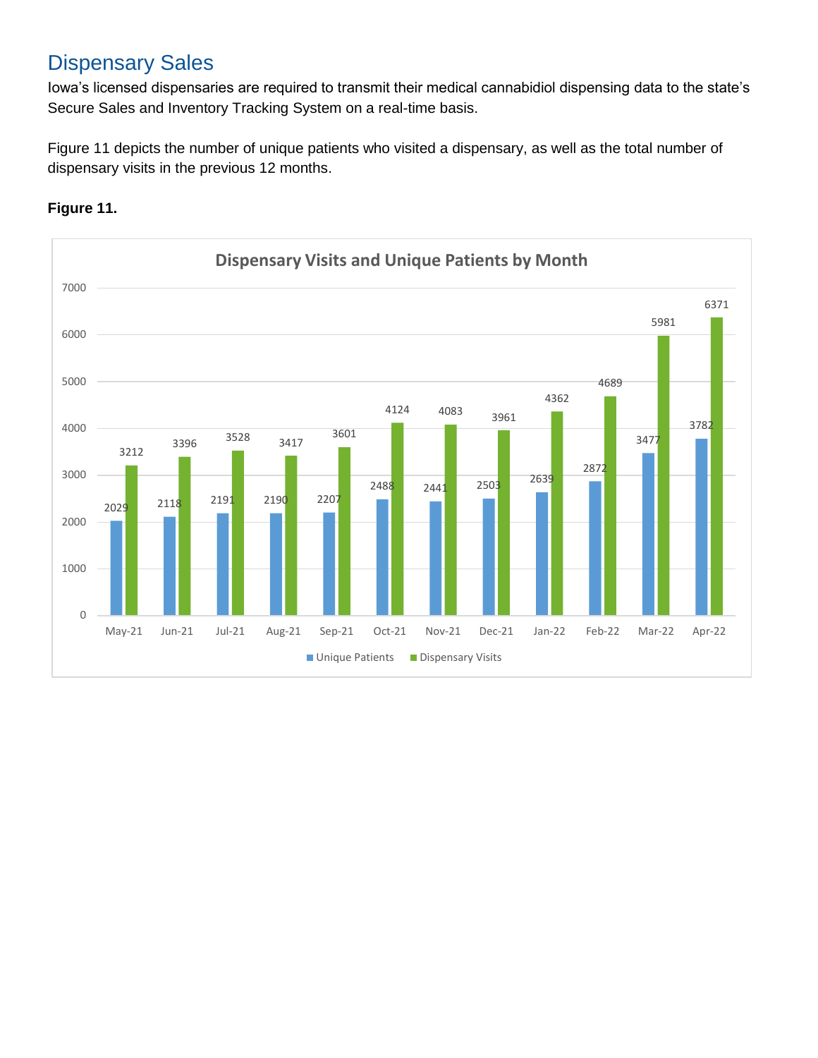## Dispensary Sales

Iowa's licensed dispensaries are required to transmit their medical cannabidiol dispensing data to the state's Secure Sales and Inventory Tracking System on a real-time basis.

Figure 11 depicts the number of unique patients who visited a dispensary, as well as the total number of dispensary visits in the previous 12 months.



#### **Figure 11.**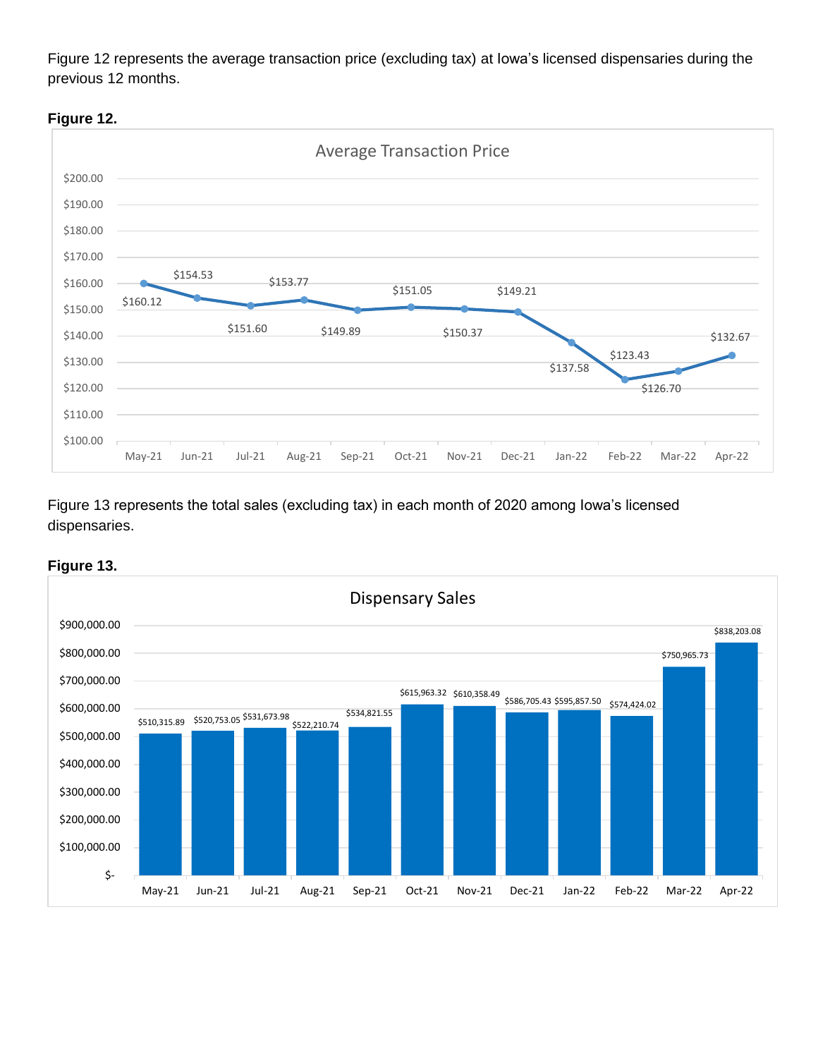Figure 12 represents the average transaction price (excluding tax) at Iowa's licensed dispensaries during the previous 12 months.



Figure 13 represents the total sales (excluding tax) in each month of 2020 among Iowa's licensed dispensaries.



#### **Figure 13.**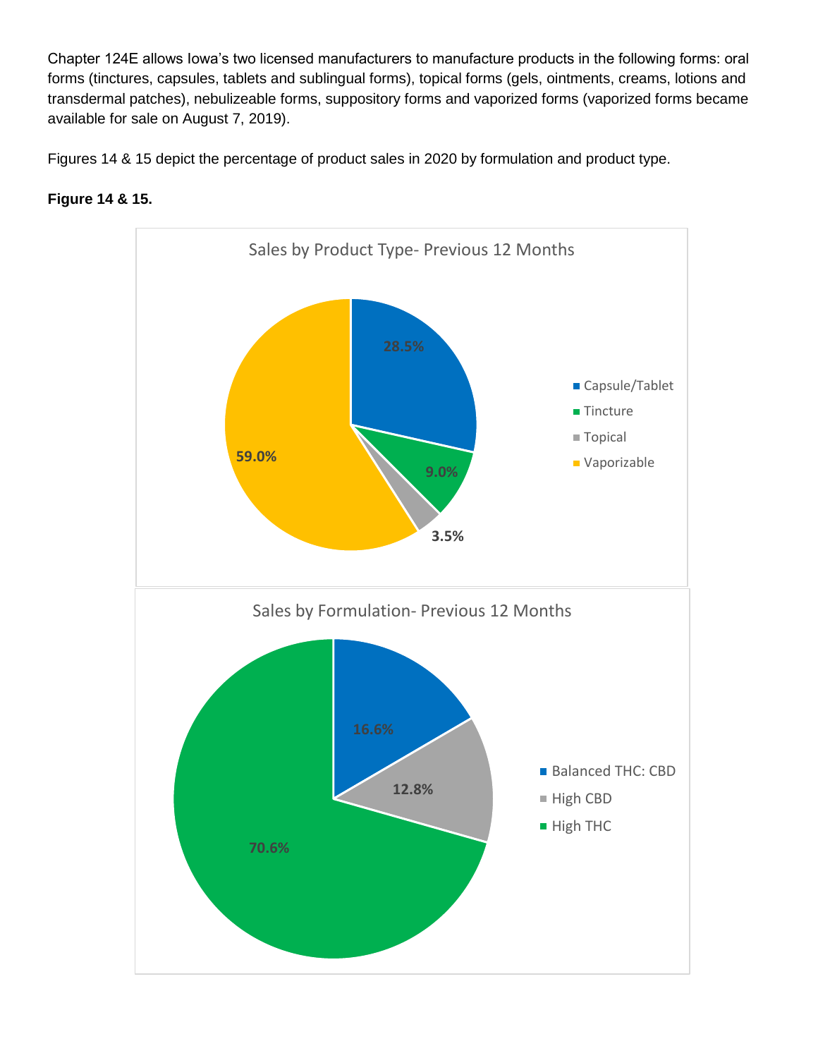Chapter 124E allows Iowa's two licensed manufacturers to manufacture products in the following forms: oral forms (tinctures, capsules, tablets and sublingual forms), topical forms (gels, ointments, creams, lotions and transdermal patches), nebulizeable forms, suppository forms and vaporized forms (vaporized forms became available for sale on August 7, 2019).

Figures 14 & 15 depict the percentage of product sales in 2020 by formulation and product type.



### **Figure 14 & 15.**